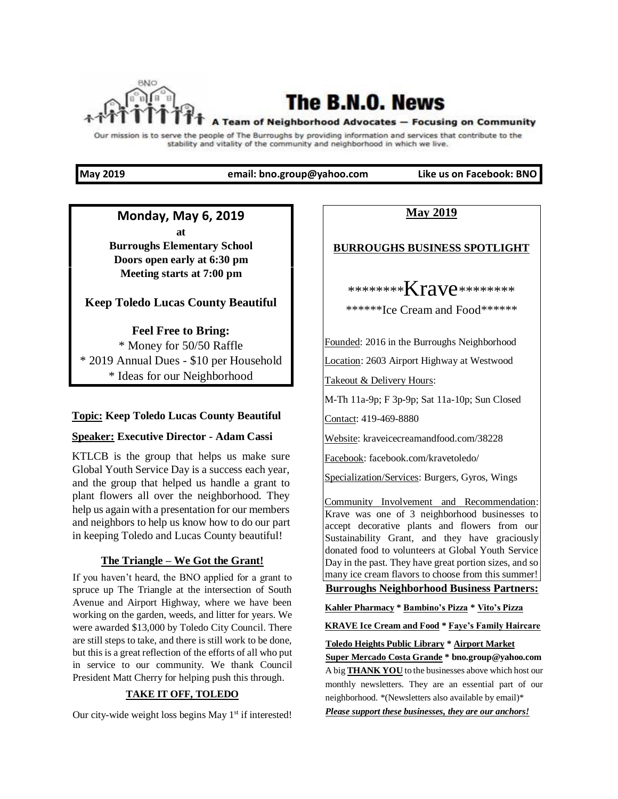

# The B.N.O. News

#### A Team of Neighborhood Advocates - Focusing on Community

Our mission is to serve the people of The Burroughs by providing information and services that contribute to the stability and vitality of the community and neighborhood in which we live.

**May 2019 email: bno.group@yahoo.com Like us on Facebook: BNO** 

# **Monday, May 6, 2019 at Burroughs Elementary School Doors open early at 6:30 pm**

**Meeting starts at 7:00 pm** 

# **Keep Toledo Lucas County Beautiful**

**Feel Free to Bring:**  \* Money for 50/50 Raffle \* 2019 Annual Dues - \$10 per Household \* Ideas for our Neighborhood

# **Topic: Keep Toledo Lucas County Beautiful**

### **Speaker: Executive Director - Adam Cassi**

KTLCB is the group that helps us make sure Global Youth Service Day is a success each year, and the group that helped us handle a grant to plant flowers all over the neighborhood. They help us again with a presentation for our members and neighbors to help us know how to do our part in keeping Toledo and Lucas County beautiful!

### **The Triangle – We Got the Grant!**

If you haven't heard, the BNO applied for a grant to spruce up The Triangle at the intersection of South Avenue and Airport Highway, where we have been working on the garden, weeds, and litter for years. We were awarded \$13,000 by Toledo City Council. There are still steps to take, and there is still work to be done, but this is a great reflection of the efforts of all who put in service to our community. We thank Council President Matt Cherry for helping push this through.

# **TAKE IT OFF, TOLEDO**

Our city-wide weight loss begins May 1<sup>st</sup> if interested!

**May 2019**

### **BURROUGHS BUSINESS SPOTLIGHT**

\*\*\*\*\*\*\*\***Krave\*\*\*\*\*\*\*\*** 

\*\*\*\*\*\*Ice Cream and Food\*\*\*\*\*\*

Founded: 2016 in the Burroughs Neighborhood

Location: 2603 Airport Highway at Westwood

Takeout & Delivery Hours:

M-Th 11a-9p; F 3p-9p; Sat 11a-10p; Sun Closed

Contact: 419-469-8880

Website: kraveicecreamandfood.com/38228

Facebook: facebook.com/kravetoledo/

Specialization/Services: Burgers, Gyros, Wings

Community Involvement and Recommendation: Krave was one of 3 neighborhood businesses to accept decorative plants and flowers from our Sustainability Grant, and they have graciously donated food to volunteers at Global Youth Service Day in the past. They have great portion sizes, and so many ice cream flavors to choose from this summer!

**Burroughs Neighborhood Business Partners:**

**Kahler Pharmacy \* Bambino's Pizza \* Vito's Pizza**

**KRAVE Ice Cream and Food \* Faye's Family Haircare**

**Toledo Heights Public Library \* Airport Market**

**Super Mercado Costa Grande \* bno.group@yahoo.com** A big **THANK YOU** to the businesses above which host our monthly newsletters. They are an essential part of our neighborhood. \*(Newsletters also available by email)\*

*Please support these businesses, they are our anchors!*